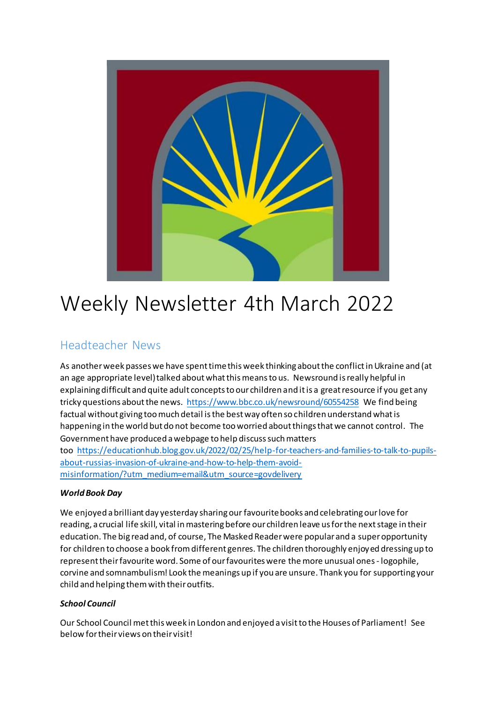

# Weekly Newsletter 4th March 2022

# Headteacher News

As another week passes we have spent time this week thinking about the conflict in Ukraine and (at an age appropriate level) talked about what this means to us. Newsround is really helpful in explaining difficult and quite adult concepts to our children and it is a great resource if you get any tricky questions about the news. <https://www.bbc.co.uk/newsround/60554258> We find being factual without giving too much detail is the best way often so children understand what is happening in the world but do not become too worried about things that we cannot control. The Government have produced a webpage to help discuss such matters too [https://educationhub.blog.gov.uk/2022/02/25/help-for-teachers-and-families-to-talk-to-pupils](https://educationhub.blog.gov.uk/2022/02/25/help-for-teachers-and-families-to-talk-to-pupils-about-russias-invasion-of-ukraine-and-how-to-help-them-avoid-misinformation/?utm_medium=email&utm_source=govdelivery)[about-russias-invasion-of-ukraine-and-how-to-help-them-avoid](https://educationhub.blog.gov.uk/2022/02/25/help-for-teachers-and-families-to-talk-to-pupils-about-russias-invasion-of-ukraine-and-how-to-help-them-avoid-misinformation/?utm_medium=email&utm_source=govdelivery)[misinformation/?utm\\_medium=email&utm\\_source=govdelivery](https://educationhub.blog.gov.uk/2022/02/25/help-for-teachers-and-families-to-talk-to-pupils-about-russias-invasion-of-ukraine-and-how-to-help-them-avoid-misinformation/?utm_medium=email&utm_source=govdelivery)

### *World Book Day*

We enjoyed a brilliant day yesterday sharing ourfavourite books and celebrating our love for reading, a crucial life skill, vital in mastering before our children leave us for the next stage in their education. The big read and, of course, The Masked Reader were popular and a super opportunity for children to choose a book from different genres. The children thoroughly enjoyed dressing up to represent their favourite word. Some of our favourites were the more unusual ones - logophile, corvine and somnambulism! Look the meanings up if you are unsure. Thank you for supporting your child and helping them with their outfits.

### *School Council*

Our School Council met this week in London and enjoyed a visit to the Houses of Parliament! See below for their views on their visit!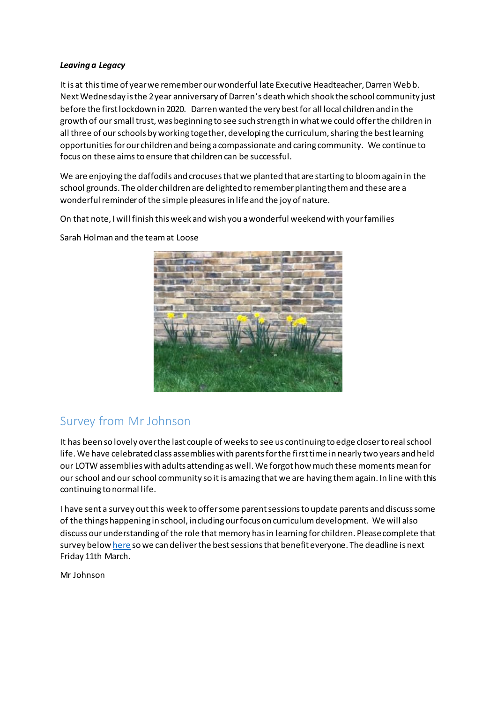#### *Leaving a Legacy*

It is at this time of year we remember our wonderful late Executive Headteacher, Darren Webb. Next Wednesday is the 2 year anniversary of Darren's death which shook the school community just before the first lockdown in 2020. Darren wanted the very best for all local children and in the growth of our small trust, was beginning to see such strength in what we could offer the children in all three of our schools by working together, developing the curriculum, sharing the best learning opportunities for our children and being a compassionate and caring community. We continue to focus on these aimsto ensure that children can be successful.

We are enjoying the daffodils and crocuses that we planted that are starting to bloom again in the school grounds. The older children are delighted to remember planting them and these are a wonderful reminder of the simple pleasures in life and the joy of nature.

On that note, I will finish this week and wish you a wonderful weekend with your families



Sarah Holman and the team at Loose

# Survey from Mr Johnson

It has been so lovely over the last couple of weeks to see us continuing to edge closer to real school life. We have celebrated class assemblies with parents for the first time in nearly two years and held our LOTW assemblies with adults attending as well. We forgot how much these moments mean for our school and our school community so it is amazing that we are having them again. In line with this continuing to normal life.

I have sent a survey out this week to offer some parent sessions to update parents and discuss some of the things happening in school, including our focus on curriculum development. We will also discuss our understanding of the role that memory has in learning for children. Please complete that survey belo[w here](https://forms.office.com/Pages/ResponsePage.aspx?id=CIyzJRprpUWVU-mXyItG0TFICwRs6PhJsMO_prPMDetUMDFRSklHWVJBVU5DUFZKNlVVMk1NN01IOC4u) so we can deliver the best sessions that benefit everyone. The deadline is next Friday 11th March.

Mr Johnson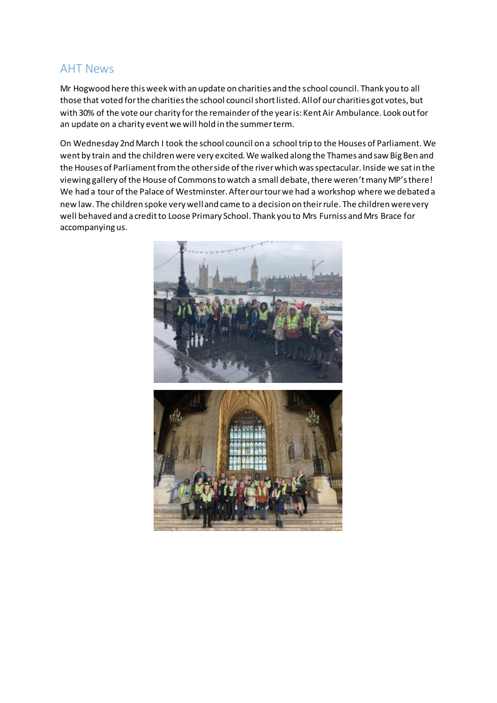### AHT News

Mr Hogwood here this week with an update on charities and the school council. Thank you to all those that voted for the charities the school council short listed. All of our charities got votes, but with 30% of the vote our charity for the remainder of the year is: Kent Air Ambulance. Look out for an update on a charity event we will hold in the summer term.

On Wednesday 2nd March I took the school council on a school trip to the Houses of Parliament. We went by train and the children were very excited. We walked along the Thames and saw Big Ben and the Houses of Parliament from the other side of the river which was spectacular. Inside we sat in the viewing gallery of the House of Commons to watch a small debate, there weren't many MP's there! We had a tour of the Palace of Westminster. After our tour we had a workshop where we debated a new law. The children spoke very well and came to a decision on their rule. The children were very well behaved and a credit to Loose Primary School. Thank you to Mrs Furniss and Mrs Brace for accompanying us.

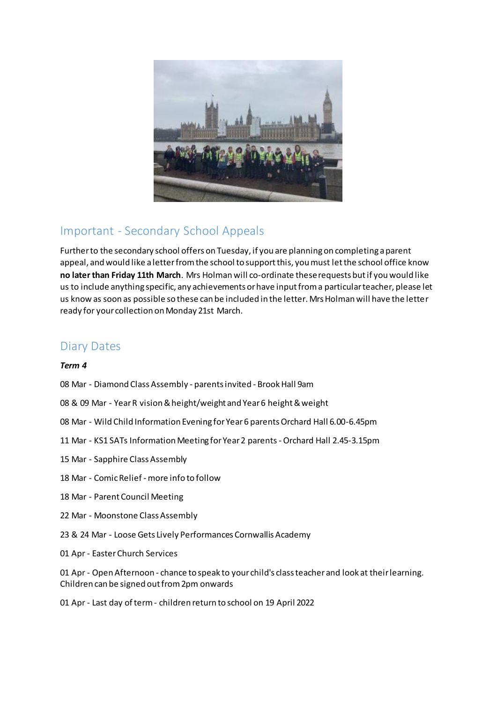

# Important - Secondary School Appeals

Further to the secondary school offers on Tuesday, if you are planning on completing a parent appeal, and would like a letter from the school to support this, you must let the school office know **no later than Friday 11th March**. Mrs Holman will co-ordinate these requests but if you would like us to include anything specific, any achievements or have input from a particular teacher, please let us know as soon as possible so these can be included in the letter. Mrs Holman will have the letter ready for your collection on Monday 21st March.

# Diary Dates

### *Term 4*

- 08 Mar Diamond Class Assembly parents invited Brook Hall 9am
- 08 & 09 Mar Year R vision & height/weight and Year 6 height & weight
- 08 Mar Wild Child Information Evening for Year 6 parents Orchard Hall 6.00-6.45pm
- 11 Mar KS1 SATs Information Meeting for Year 2 parents -Orchard Hall 2.45-3.15pm
- 15 Mar Sapphire Class Assembly
- 18 Mar Comic Relief more info to follow
- 18 Mar Parent Council Meeting
- 22 Mar Moonstone Class Assembly
- 23 & 24 Mar Loose Gets Lively Performances Cornwallis Academy
- 01 Apr Easter Church Services

01 Apr - Open Afternoon - chance to speak to your child's class teacher and look at their learning. Children can be signed out from 2pm onwards

01 Apr - Last day of term - children return to school on 19 April 2022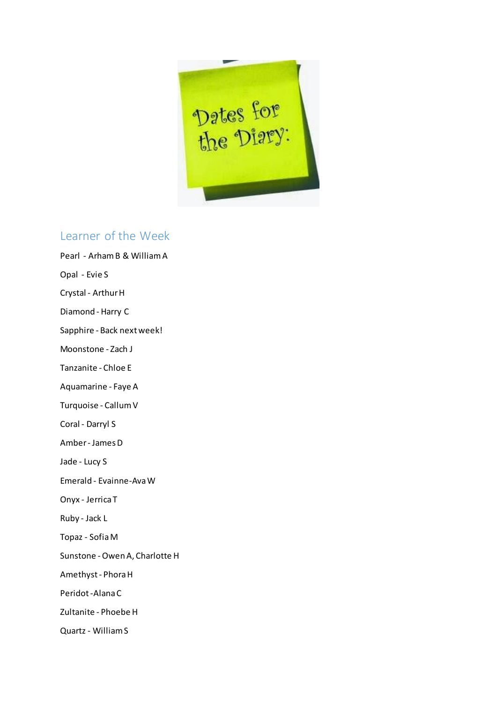

### Learner of the Week

Pearl - Arham B & William A Opal - Evie S Crystal - Arthur H Diamond - Harry C Sapphire - Back next week! Moonstone - Zach J Tanzanite - Chloe E Aquamarine - Faye A Turquoise - Callum V Coral - Darryl S Amber - James D Jade - Lucy S Emerald - Evainne-Ava W Onyx - Jerrica T Ruby - Jack L Topaz - Sofia M Sunstone - Owen A, Charlotte H Amethyst - Phora H Peridot -Alana C Zultanite - Phoebe H Quartz - William S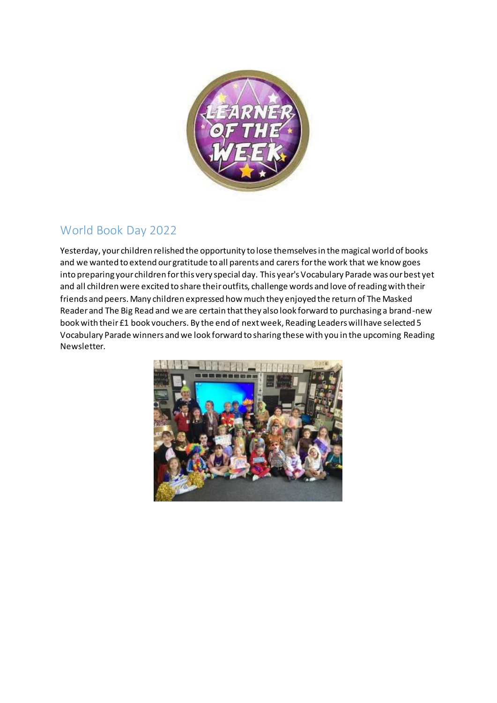

# World Book Day 2022

Yesterday, your children relished the opportunity to lose themselves in the magical world of books and we wanted to extend our gratitude to all parents and carers for the work that we know goes into preparing your children for this very special day. This year's Vocabulary Parade was our best yet and all children were excited to share their outfits, challenge words and love of reading with their friends and peers. Many children expressed how much they enjoyed the return of The Masked Reader and The Big Read and we are certain that they also look forward to purchasing a brand-new book with their £1 book vouchers. By the end of next week, Reading Leaders will have selected 5 Vocabulary Parade winners and we look forward to sharing these with you in the upcoming Reading Newsletter.

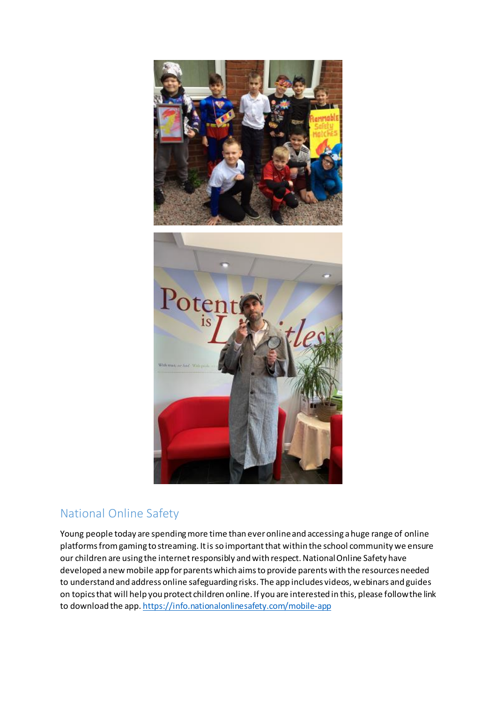

# National Online Safety

Young people today are spending more time than ever online and accessing a huge range of online platforms from gaming to streaming. It is so important that within the school community we ensure our children are using the internet responsibly and with respect. National Online Safety have developed a new mobile app for parents which aims to provide parents with the resources needed to understand and address online safeguarding risks. The app includes videos, webinars and guides on topics that will help you protect children online. If you are interested in this, please follow the link to download the app. <https://info.nationalonlinesafety.com/mobile-app>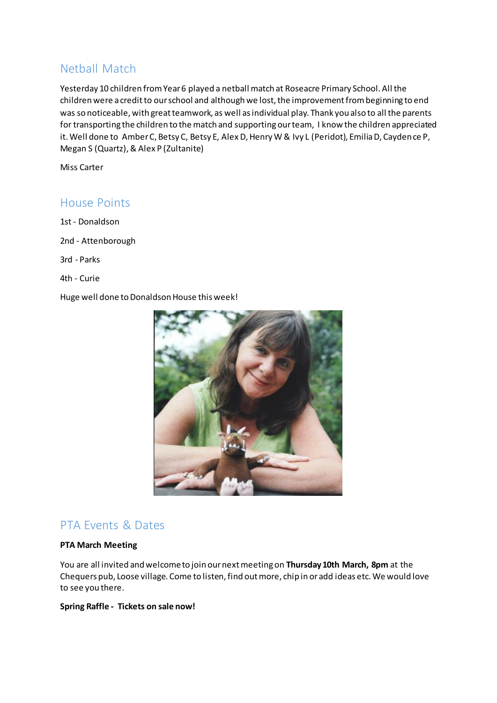# Netball Match

Yesterday 10 children from Year 6 played a netball match at Roseacre Primary School. All the children were a credit to our school and although we lost, the improvement from beginning to end was so noticeable, with great teamwork, as well as individual play. Thank you also to all the parents for transporting the children to the match and supporting our team, I know the children appreciated it. Well done to Amber C, Betsy C, Betsy E, Alex D, Henry W & Ivy L (Peridot), Emilia D, Caydence P, Megan S (Quartz), & Alex P (Zultanite)

Miss Carter

### House Points

1st - Donaldson 2nd - Attenborough 3rd - Parks 4th - Curie

Huge well done to Donaldson House this week!



### PTA Events & Dates

#### **PTA March Meeting**

You are all invited and welcome to join our next meeting on **Thursday 10th March, 8pm** at the Chequers pub, Loose village. Come to listen, find out more, chip in or add ideas etc. We would love to see you there.

### **Spring Raffle - Tickets on sale now!**